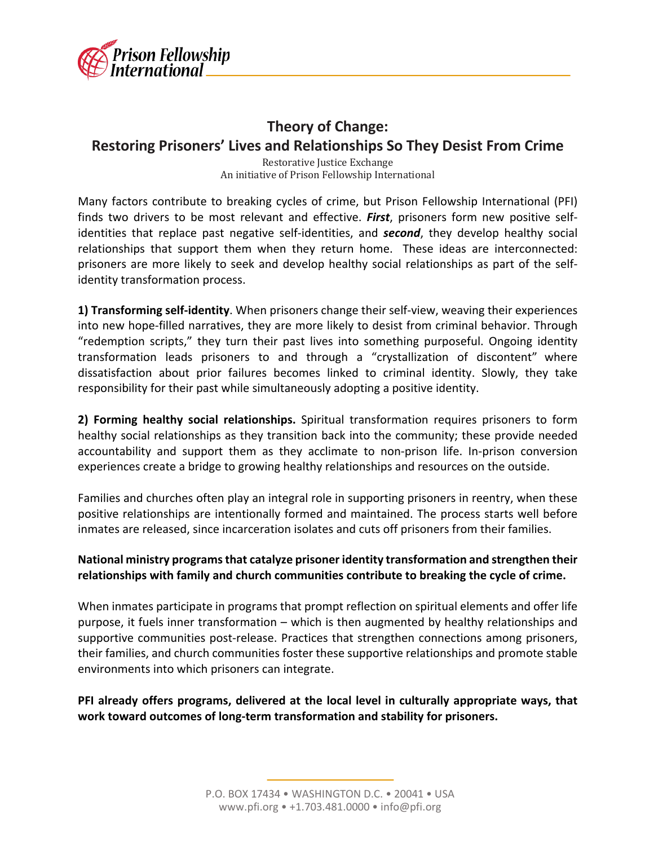

## **Theory of Change: Restoring Prisoners' Lives and Relationships So They Desist From Crime**

Restorative Justice Exchange An initiative of Prison Fellowship International

Many factors contribute to breaking cycles of crime, but Prison Fellowship International (PFI) finds two drivers to be most relevant and effective. *First*, prisoners form new positive selfidentities that replace past negative self-identities, and *second*, they develop healthy social relationships that support them when they return home. These ideas are interconnected: prisoners are more likely to seek and develop healthy social relationships as part of the selfidentity transformation process.

**1) Transforming self-identity**. When prisoners change their self-view, weaving their experiences into new hope-filled narratives, they are more likely to desist from criminal behavior. Through "redemption scripts," they turn their past lives into something purposeful. Ongoing identity transformation leads prisoners to and through a "crystallization of discontent" where dissatisfaction about prior failures becomes linked to criminal identity. Slowly, they take responsibility for their past while simultaneously adopting a positive identity.

**2) Forming healthy social relationships.** Spiritual transformation requires prisoners to form healthy social relationships as they transition back into the community; these provide needed accountability and support them as they acclimate to non-prison life. In-prison conversion experiences create a bridge to growing healthy relationships and resources on the outside.

Families and churches often play an integral role in supporting prisoners in reentry, when these positive relationships are intentionally formed and maintained. The process starts well before inmates are released, since incarceration isolates and cuts off prisoners from their families.

## **National ministry programs that catalyze prisoner identity transformation and strengthen their relationships with family and church communities contribute to breaking the cycle of crime.**

When inmates participate in programs that prompt reflection on spiritual elements and offer life purpose, it fuels inner transformation – which is then augmented by healthy relationships and supportive communities post-release. Practices that strengthen connections among prisoners, their families, and church communities foster these supportive relationships and promote stable environments into which prisoners can integrate.

**PFI already offers programs, delivered at the local level in culturally appropriate ways, that work toward outcomes of long-term transformation and stability for prisoners.**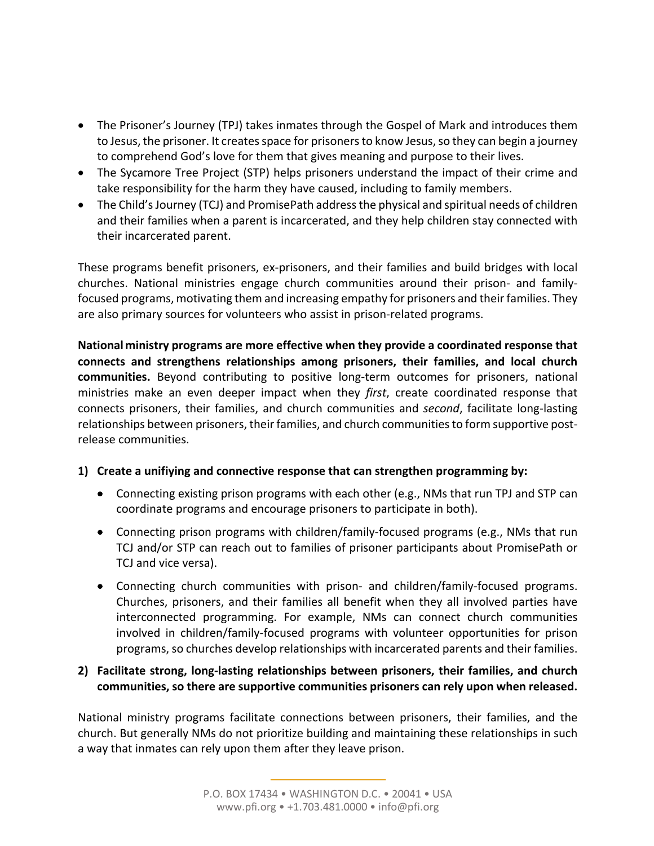- The Prisoner's Journey (TPJ) takes inmates through the Gospel of Mark and introduces them to Jesus, the prisoner. It creates space for prisoners to know Jesus, so they can begin a journey to comprehend God's love for them that gives meaning and purpose to their lives.
- The Sycamore Tree Project (STP) helps prisoners understand the impact of their crime and take responsibility for the harm they have caused, including to family members.
- The Child's Journey (TCJ) and PromisePath address the physical and spiritual needs of children and their families when a parent is incarcerated, and they help children stay connected with their incarcerated parent.

These programs benefit prisoners, ex-prisoners, and their families and build bridges with local churches. National ministries engage church communities around their prison- and familyfocused programs, motivating them and increasing empathy for prisoners and their families. They are also primary sources for volunteers who assist in prison-related programs.

**National ministry programs are more effective when they provide a coordinated response that connects and strengthens relationships among prisoners, their families, and local church communities.** Beyond contributing to positive long-term outcomes for prisoners, national ministries make an even deeper impact when they *first*, create coordinated response that connects prisoners, their families, and church communities and *second*, facilitate long-lasting relationships between prisoners, their families, and church communities to form supportive postrelease communities.

## **1) Create a unifiying and connective response that can strengthen programming by:**

- Connecting existing prison programs with each other (e.g., NMs that run TPJ and STP can coordinate programs and encourage prisoners to participate in both).
- Connecting prison programs with children/family-focused programs (e.g., NMs that run TCJ and/or STP can reach out to families of prisoner participants about PromisePath or TCJ and vice versa).
- Connecting church communities with prison- and children/family-focused programs. Churches, prisoners, and their families all benefit when they all involved parties have interconnected programming. For example, NMs can connect church communities involved in children/family-focused programs with volunteer opportunities for prison programs, so churches develop relationships with incarcerated parents and their families.

## **2) Facilitate strong, long-lasting relationships between prisoners, their families, and church communities, so there are supportive communities prisoners can rely upon when released.**

National ministry programs facilitate connections between prisoners, their families, and the church. But generally NMs do not prioritize building and maintaining these relationships in such a way that inmates can rely upon them after they leave prison.